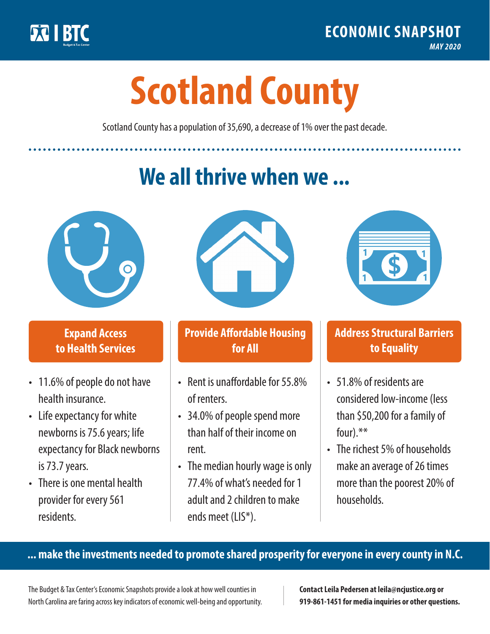

**1**

# **Scotland County**

Scotland County has a population of 35,690, a decrease of 1% over the past decade.

# **We all thrive when we ...**



**\$ <sup>1</sup>**

**\$ <sup>1</sup>**

## **Expand Access to Health Services**

- 11.6% of people do not have health insurance.
- Life expectancy for white newborns is 75.6years; life expectancy for Black newborns is 73.7years.
- There is one mental health provider for every 561 residents.



## **Provide Affordable Housing for All**

- Rent is unaffordable for 55.8% of renters.
- 34.0% of people spend more than half of their income on rent.
- The median hourly wage is only 77.4% of what's needed for 1 adult and 2 children to make ends meet (LIS\*).



## **Address Structural Barriers to Equality**

- 51.8% of residents are considered low-income (less than \$50,200 for a family of four).\*\*
- The richest 5% of households make an average of 26 times more than the poorest 20% of households.

#### **... make the investments needed to promote shared prosperity for everyone in every county in N.C.**

The Budget & Tax Center's Economic Snapshots provide a look at how well counties in North Carolina are faring across key indicators of economic well-being and opportunity.